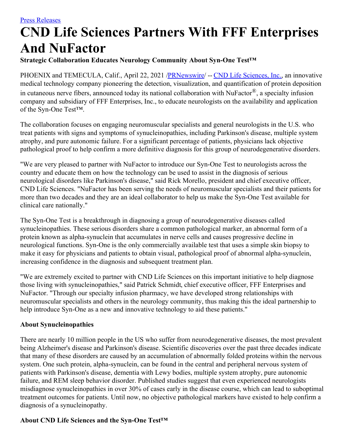# **CND Life Sciences Partners With FFF Enterprises And NuFactor**

## **Strategic Collaboration Educates Neurology Community About Syn-One Test™**

PHOENIX and TEMECULA, Calif., April 22, 2021 [/PRNewswire](http://www.prnewswire.com/)/ -- CND Life [Sciences,](https://c212.net/c/link/?t=0&l=en&o=3138116-1&h=703351096&u=https%3A%2F%2Fcndlifesciences.com%2F&a=CND+Life+Sciences%2C+Inc.) Inc., an innovative medical technology company pioneering the detection, visualization, and quantification of protein deposition in cutaneous nerve fibers, announced today its national collaboration with NuFactor®, a specialty infusion company and subsidiary of FFF Enterprises, Inc., to educate neurologists on the availability and application of the Syn-One Test™.

The collaboration focuses on engaging neuromuscular specialists and general neurologists in the U.S. who treat patients with signs and symptoms of synucleinopathies, including Parkinson's disease, multiple system atrophy, and pure autonomic failure. For a significant percentage of patients, physicians lack objective pathological proof to help confirm a more definitive diagnosis for this group of neurodegenerative disorders.

"We are very pleased to partner with NuFactor to introduce our Syn-One Test to neurologists across the country and educate them on how the technology can be used to assist in the diagnosis of serious neurological disorders like Parkinson's disease," said Rick Morello, president and chief executive officer, CND Life Sciences. "NuFactor has been serving the needs of neuromuscular specialists and their patients for more than two decades and they are an ideal collaborator to help us make the Syn-One Test available for clinical care nationally."

The Syn-One Test is a breakthrough in diagnosing a group of neurodegenerative diseases called synucleinopathies. These serious disorders share a common pathological marker, an abnormal form of a protein known as alpha-synuclein that accumulates in nerve cells and causes progressive decline in neurological functions. Syn-One is the only commercially available test that uses a simple skin biopsy to make it easy for physicians and patients to obtain visual, pathological proof of abnormal alpha-synuclein, increasing confidence in the diagnosis and subsequent treatment plan.

"We are extremely excited to partner with CND Life Sciences on this important initiative to help diagnose those living with synucleinopathies," said Patrick Schmidt, chief executive officer, FFF Enterprises and NuFactor. "Through our specialty infusion pharmacy, we have developed strong relationships with neuromuscular specialists and others in the neurology community, thus making this the ideal partnership to help introduce Syn-One as a new and innovative technology to aid these patients."

## **About Synucleinopathies**

There are nearly 10 million people in the US who suffer from neurodegenerative diseases, the most prevalent being Alzheimer's disease and Parkinson's disease. Scientific discoveries over the past three decades indicate that many of these disorders are caused by an accumulation of abnormally folded proteins within the nervous system. One such protein, alpha-synuclein, can be found in the central and peripheral nervous system of patients with Parkinson's disease, dementia with Lewy bodies, multiple system atrophy, pure autonomic failure, and REM sleep behavior disorder. Published studies suggest that even experienced neurologists misdiagnose synucleinopathies in over 30% of cases early in the disease course, which can lead to suboptimal treatment outcomes for patients. Until now, no objective pathological markers have existed to help confirm a diagnosis of a synucleinopathy.

## **About CND Life Sciences and the Syn-One Test™**